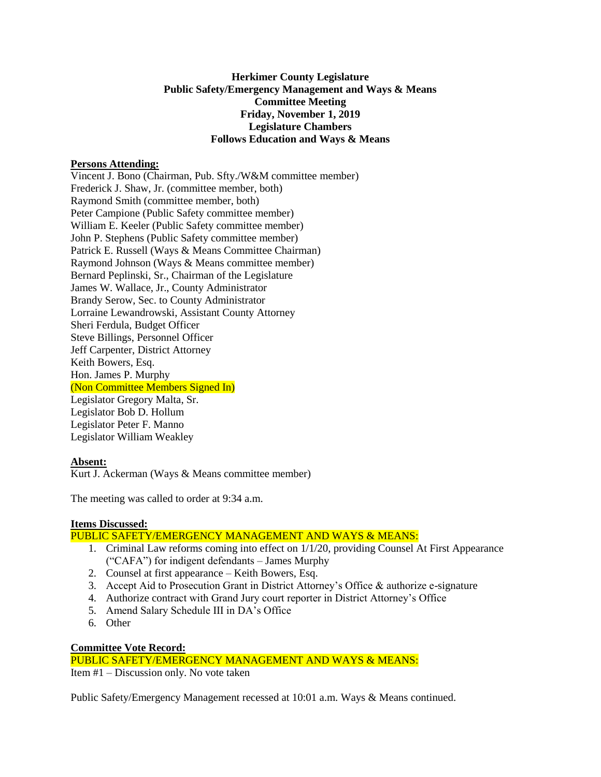# **Herkimer County Legislature Public Safety/Emergency Management and Ways & Means Committee Meeting Friday, November 1, 2019 Legislature Chambers Follows Education and Ways & Means**

# **Persons Attending:**

Vincent J. Bono (Chairman, Pub. Sfty./W&M committee member) Frederick J. Shaw, Jr. (committee member, both) Raymond Smith (committee member, both) Peter Campione (Public Safety committee member) William E. Keeler (Public Safety committee member) John P. Stephens (Public Safety committee member) Patrick E. Russell (Ways & Means Committee Chairman) Raymond Johnson (Ways & Means committee member) Bernard Peplinski, Sr., Chairman of the Legislature James W. Wallace, Jr., County Administrator Brandy Serow, Sec. to County Administrator Lorraine Lewandrowski, Assistant County Attorney Sheri Ferdula, Budget Officer Steve Billings, Personnel Officer Jeff Carpenter, District Attorney Keith Bowers, Esq. Hon. James P. Murphy (Non Committee Members Signed In) Legislator Gregory Malta, Sr. Legislator Bob D. Hollum

Legislator Peter F. Manno Legislator William Weakley

## **Absent:**

Kurt J. Ackerman (Ways & Means committee member)

The meeting was called to order at 9:34 a.m.

## **Items Discussed:**

PUBLIC SAFETY/EMERGENCY MANAGEMENT AND WAYS & MEANS:

- 1. Criminal Law reforms coming into effect on 1/1/20, providing Counsel At First Appearance ("CAFA") for indigent defendants – James Murphy
- 2. Counsel at first appearance Keith Bowers, Esq.
- 3. Accept Aid to Prosecution Grant in District Attorney's Office & authorize e-signature
- 4. Authorize contract with Grand Jury court reporter in District Attorney's Office
- 5. Amend Salary Schedule III in DA's Office
- 6. Other

## **Committee Vote Record:**

PUBLIC SAFETY/EMERGENCY MANAGEMENT AND WAYS & MEANS: Item #1 – Discussion only. No vote taken

Public Safety/Emergency Management recessed at 10:01 a.m. Ways & Means continued.